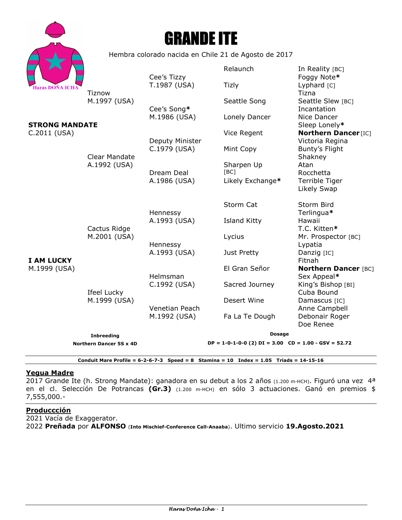



Hembra colorado nacida en Chile 21 de Agosto de 2017

|                                   |                                                             |                                 | Relaunch                                                   | In Reality [BC]                              |
|-----------------------------------|-------------------------------------------------------------|---------------------------------|------------------------------------------------------------|----------------------------------------------|
| <b>Haras DOÑA ICHA</b>            | <b>Tiznow</b><br>M.1997 (USA)                               | Cee's Tizzy<br>T.1987 (USA)     | Tizly                                                      | Foggy Note*<br>Lyphard [C]                   |
|                                   |                                                             |                                 | Seattle Song                                               | Tizna<br>Seattle Slew [BC]                   |
| <b>STRONG MANDATE</b>             |                                                             | Cee's Song*<br>M.1986 (USA)     | Lonely Dancer                                              | Incantation<br>Nice Dancer                   |
| C.2011 (USA)                      |                                                             |                                 | Vice Regent                                                | Sleep Lonely*<br><b>Northern Dancer [IC]</b> |
|                                   | <b>Clear Mandate</b>                                        | Deputy Minister<br>C.1979 (USA) | Mint Copy                                                  | Victoria Regina<br>Bunty's Flight<br>Shakney |
|                                   | A.1992 (USA)                                                | Dream Deal                      | Sharpen Up<br>[BC]                                         | Atan<br>Rocchetta                            |
| <b>I AM LUCKY</b><br>M.1999 (USA) | Cactus Ridge<br>M.2001 (USA)<br>Ifeel Lucky<br>M.1999 (USA) | A.1986 (USA)                    | Likely Exchange*                                           | Terrible Tiger<br>Likely Swap                |
|                                   |                                                             | Hennessy                        | Storm Cat                                                  | Storm Bird<br>Terlingua*                     |
|                                   |                                                             | A.1993 (USA)                    | <b>Island Kitty</b>                                        | Hawaii<br>T.C. Kitten*                       |
|                                   |                                                             | Hennessy                        | Lycius                                                     | Mr. Prospector [BC]<br>Lypatia               |
|                                   |                                                             | A.1993 (USA)                    | Just Pretty                                                | Danzig [IC]<br>Fitnah                        |
|                                   |                                                             | Helmsman                        | El Gran Señor                                              | <b>Northern Dancer [BC]</b><br>Sex Appeal*   |
|                                   |                                                             | C.1992 (USA)                    | Sacred Journey                                             | King's Bishop [BI]<br>Cuba Bound             |
|                                   |                                                             | Venetian Peach                  | Desert Wine                                                | Damascus [IC]<br>Anne Campbell               |
|                                   |                                                             | M.1992 (USA)                    | Fa La Te Dough                                             | Debonair Roger<br>Doe Renee                  |
| <b>Inbreeding</b>                 |                                                             |                                 | <b>Dosage</b>                                              |                                              |
| Northern Dancer 5S x 4D           |                                                             |                                 | $DP = 1-0-1-0-0$ (2) $DI = 3.00$ $CD = 1.00 - GSV = 52.72$ |                                              |

**Conduit Mare Profile = 6-2-6-7-3 Speed = 8 Stamina = 10 Index = 1.05 Triads = 14-15-16** 

### **Yegua Madre**

2017 Grande Ite (h. Strong Mandate): ganadora en su debut a los 2 años (1.200 m-HCH). Figuró una vez 4<sup>a</sup> en el cl. Selección De Potrancas **(Gr.3)** (1.200 m-HCH) en sólo 3 actuaciones. Ganó en premios \$ 7,555,000.-

### **Produccción**

2021 Vacía de Exaggerator. 2022 **Preñada** por **ALFONSO** (**Into Mischief-Conference Call-Anaaba**). Ultimo servicio **19.Agosto.2021**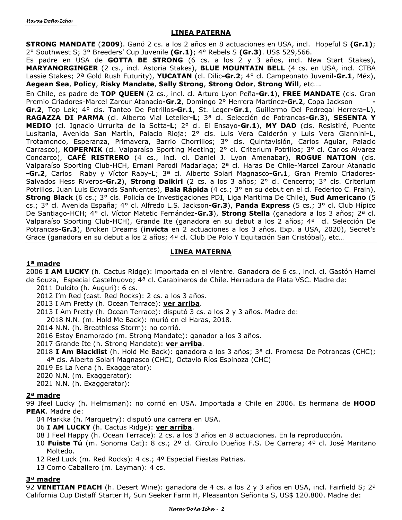## **LINEA PATERNA**

**STRONG MANDATE** (**2009**). Ganó 2 cs. a los 2 años en 8 actuaciones en USA, incl. Hopeful S **(Gr.1)**; 2° Southwest S; 3° Breeders' Cup Juvenile **(Gr.1)**; 4° Rebels S **(Gr.3)**. US\$ 529,566.

Es padre en USA de **GOTTA BE STRONG** (6 cs. a los 2 y 3 años, incl. New Start Stakes), **MARYANORGINGER** (2 cs., incl. Astoria Stakes), **BLUE MOUNTAIN BELL** (4 cs. en USA, incl. CTBA Lassie Stakes; 2ª Gold Rush Futurity), **YUCATAN** (cl. Dilic**-Gr.2**; 4° cl. Campeonato Juvenil**-Gr.1**, Méx), **Aegean Sea**, **Policy**, **Risky Mandate**, **Sally Strong**, **Strong Odor**, **Strong Will**, etc….

En Chile, es padre de **TOP QUEEN** (2 cs., incl. cl. Arturo Lyon Peña**-Gr.1**), **FREE MANDATE** (cls. Gran Premio Criadores-Marcel Zarour Atanacio**-Gr.2**, Domingo 2° Herrera Martínez**-Gr.2**, Copa Jackson **-**

**Gr.2**, Top Lek; 4° cls. Tanteo De Potrillos**-Gr.1**, St. Leger**-Gr.1**, Guillermo Del Pedregal Herrera**-L**), **RAGAZZA DI PARMA** (cl. Alberto Vial Letelier**-L**; 3ª cl. Selección de Potrancas**-Gr.3**), **SESENTA Y MEDIO** (cl. Ignacio Urrurita de la Sotta**-L**; 2° cl. El Ensayo**-Gr.1**), **MY DAD** (cls. Resistiré, Puente Lusitania, Avenida San Martín, Palacio Rioja; 2° cls. Luis Vera Calderón y Luis Vera Giannini**-L**, Trotamondo, Esperanza, Primavera, Barrio Chorrillos; 3° cls. Quintavisión, Carlos Aguiar, Palacio Carrasco), **KOPERNIK** (cl. Valparaíso Sporting Meeting; 2° cl. Criterium Potrillos; 3° cl. Carlos Alvarez Condarco), **CAFÉ RISTRERO** (4 cs., incl. cl. Daniel J. Lyon Amenabar), **ROGUE NATION** (cls. Valparaíso Sporting Club-HCH, Ernani Parodi Madariaga; 2ª cl. Haras De Chile-Marcel Zarour Atanacio **-Gr.2**, Carlos Raby y Víctor Raby**-L**; 3ª cl. Alberto Solari Magnasco**-Gr.1**, Gran Premio Criadores-Salvados Hess Riveros**-Gr.2**), **Strong Daikiri** (2 cs. a los 3 años; 2° cl. Cencerro; 3° cls. Criterium Potrillos, Juan Luis Edwards Sanfuentes), **Bala Rápida** (4 cs.; 3° en su debut en el cl. Federico C. Prain), **Strong Black** (6 cs.; 3° cls. Policía de Investigaciones PDI, Liga Maritima De Chile), **Sud Americano** (5 cs.; 3° cl. Avenida España; 4° cl. Alfredo L.S. Jackson**-Gr.3**), **Panda Express** (5 cs.; 3° cl. Club Hípico De Santiago-HCH; 4° cl. Víctor Matetic Fernández**-Gr.3**), **Strong Stella** (ganadora a los 3 años; 2ª cl. Valparaíso Sporting Club-HCH), Grande Ite (ganadora en su debut a los 2 años; 4ª cl. Selección De Potrancas**-Gr.3**), Broken Dreams (**invicta** en 2 actuaciones a los 3 años. Exp. a USA, 2020), Secret's Grace (ganadora en su debut a los 2 años; 4ª cl. Club De Polo Y Equitación San Cristóbal), etc…

## **LINEA MATERNA**

## **1ª madre**

2006 **I AM LUCKY** (h. Cactus Ridge): importada en el vientre. Ganadora de 6 cs., incl. cl. Gastón Hamel de Souza, Especial Castelnuovo; 4ª cl. Carabineros de Chile. Herradura de Plata VSC. Madre de:

- 2011 Dulcito (h. Auguri): 6 cs.
- 2012 I'm Red (cast. Red Rocks): 2 cs. a los 3 años.
- 2013 I Am Pretty (h. Ocean Terrace): **ver arriba**.
- 2013 I Am Pretty (h. Ocean Terrace): disputó 3 cs. a los 2 y 3 años. Madre de:
- 2018 N.N. (m. Hold Me Back): murió en el Haras, 2018.
- 2014 N.N. (h. Breathless Storm): no corrió.
- 2016 Estoy Enamorado (m. Strong Mandate): ganador a los 3 años.
- 2017 Grande Ite (h. Strong Mandate): **ver arriba**.
- 2018 **I Am Blacklist** (h. Hold Me Back): ganadora a los 3 años; 3ª cl. Promesa De Potrancas (CHC); 4ª cls. Alberto Solari Magnasco (CHC), Octavio Ríos Espinoza (CHC)
- 2019 Es La Nena (h. Exaggerator):
- 2020 N.N. (m. Exaggerator):
- 2021 N.N. (h. Exaggerator):

## **2ª madre**

99 Ifeel Lucky (h. Helmsman): no corrió en USA. Importada a Chile en 2006. Es hermana de **HOOD PEAK**. Madre de:

- 04 Markka (h. Marquetry): disputó una carrera en USA.
- 06 **I AM LUCKY** (h. Cactus Ridge): **ver arriba**.
- 08 I Feel Happy (h. Ocean Terrace): 2 cs. a los 3 años en 8 actuaciones. En la reproducción.
- 10 **Fuiste Tú** (m. Sonoma Cat): 8 cs.; 2º cl. Círculo Dueños F.S. De Carrera; 4º cl. José Maritano Moltedo.
- 12 Red Luck (m. Red Rocks): 4 cs.; 4º Especial Fiestas Patrias.
- 13 Como Caballero (m. Layman): 4 cs.

## **3ª madre**

92 **VENETIAN PEACH** (h. Desert Wine): ganadora de 4 cs. a los 2 y 3 años en USA, incl. Fairfield S; 2ª California Cup Distaff Starter H, Sun Seeker Farm H, Pleasanton Señorita S, US\$ 120.800. Madre de: